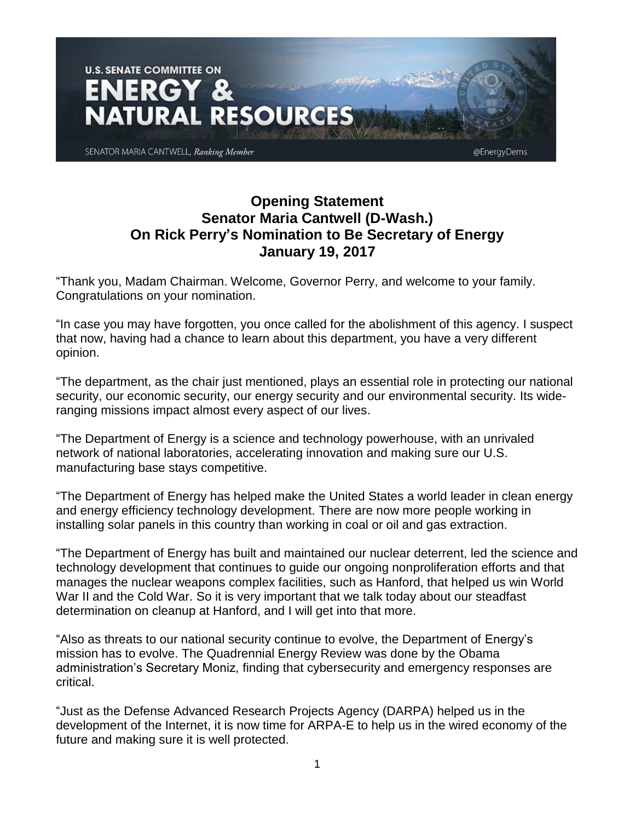

## **Opening Statement Senator Maria Cantwell (D-Wash.) On Rick Perry's Nomination to Be Secretary of Energy January 19, 2017**

"Thank you, Madam Chairman. Welcome, Governor Perry, and welcome to your family. Congratulations on your nomination.

"In case you may have forgotten, you once called for the abolishment of this agency. I suspect that now, having had a chance to learn about this department, you have a very different opinion.

"The department, as the chair just mentioned, plays an essential role in protecting our national security, our economic security, our energy security and our environmental security. Its wideranging missions impact almost every aspect of our lives.

"The Department of Energy is a science and technology powerhouse, with an unrivaled network of national laboratories, accelerating innovation and making sure our U.S. manufacturing base stays competitive.

"The Department of Energy has helped make the United States a world leader in clean energy and energy efficiency technology development. There are now more people working in installing solar panels in this country than working in coal or oil and gas extraction.

"The Department of Energy has built and maintained our nuclear deterrent, led the science and technology development that continues to guide our ongoing nonproliferation efforts and that manages the nuclear weapons complex facilities, such as Hanford, that helped us win World War II and the Cold War. So it is very important that we talk today about our steadfast determination on cleanup at Hanford, and I will get into that more.

"Also as threats to our national security continue to evolve, the Department of Energy's mission has to evolve. The Quadrennial Energy Review was done by the Obama administration's Secretary Moniz, finding that cybersecurity and emergency responses are critical.

"Just as the Defense Advanced Research Projects Agency (DARPA) helped us in the development of the Internet, it is now time for ARPA-E to help us in the wired economy of the future and making sure it is well protected.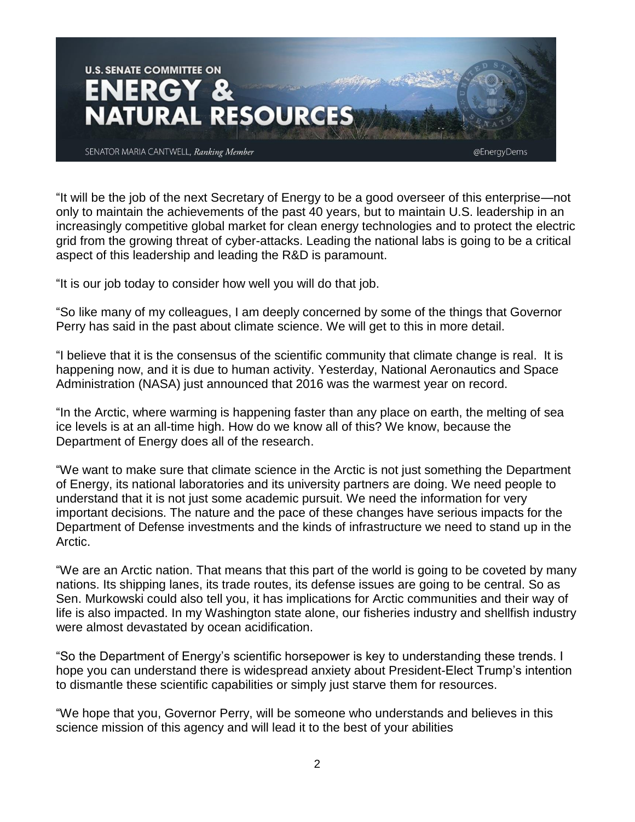

"It will be the job of the next Secretary of Energy to be a good overseer of this enterprise—not only to maintain the achievements of the past 40 years, but to maintain U.S. leadership in an increasingly competitive global market for clean energy technologies and to protect the electric grid from the growing threat of cyber-attacks. Leading the national labs is going to be a critical aspect of this leadership and leading the R&D is paramount.

"It is our job today to consider how well you will do that job.

"So like many of my colleagues, I am deeply concerned by some of the things that Governor Perry has said in the past about climate science. We will get to this in more detail.

"I believe that it is the consensus of the scientific community that climate change is real. It is happening now, and it is due to human activity. Yesterday, National Aeronautics and Space Administration (NASA) just announced that 2016 was the warmest year on record.

"In the Arctic, where warming is happening faster than any place on earth, the melting of sea ice levels is at an all-time high. How do we know all of this? We know, because the Department of Energy does all of the research.

"We want to make sure that climate science in the Arctic is not just something the Department of Energy, its national laboratories and its university partners are doing. We need people to understand that it is not just some academic pursuit. We need the information for very important decisions. The nature and the pace of these changes have serious impacts for the Department of Defense investments and the kinds of infrastructure we need to stand up in the Arctic.

"We are an Arctic nation. That means that this part of the world is going to be coveted by many nations. Its shipping lanes, its trade routes, its defense issues are going to be central. So as Sen. Murkowski could also tell you, it has implications for Arctic communities and their way of life is also impacted. In my Washington state alone, our fisheries industry and shellfish industry were almost devastated by ocean acidification.

"So the Department of Energy's scientific horsepower is key to understanding these trends. I hope you can understand there is widespread anxiety about President-Elect Trump's intention to dismantle these scientific capabilities or simply just starve them for resources.

"We hope that you, Governor Perry, will be someone who understands and believes in this science mission of this agency and will lead it to the best of your abilities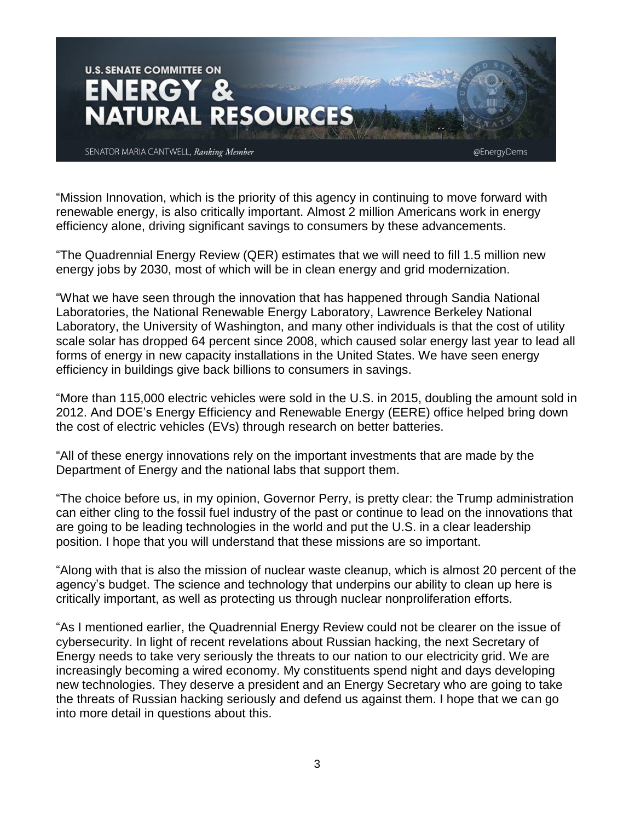

"Mission Innovation, which is the priority of this agency in continuing to move forward with renewable energy, is also critically important. Almost 2 million Americans work in energy efficiency alone, driving significant savings to consumers by these advancements.

"The Quadrennial Energy Review (QER) estimates that we will need to fill 1.5 million new energy jobs by 2030, most of which will be in clean energy and grid modernization.

"What we have seen through the innovation that has happened through Sandia National Laboratories, the National Renewable Energy Laboratory, Lawrence Berkeley National Laboratory, the University of Washington, and many other individuals is that the cost of utility scale solar has dropped 64 percent since 2008, which caused solar energy last year to lead all forms of energy in new capacity installations in the United States. We have seen energy efficiency in buildings give back billions to consumers in savings.

"More than 115,000 electric vehicles were sold in the U.S. in 2015, doubling the amount sold in 2012. And DOE's Energy Efficiency and Renewable Energy (EERE) office helped bring down the cost of electric vehicles (EVs) through research on better batteries.

"All of these energy innovations rely on the important investments that are made by the Department of Energy and the national labs that support them.

"The choice before us, in my opinion, Governor Perry, is pretty clear: the Trump administration can either cling to the fossil fuel industry of the past or continue to lead on the innovations that are going to be leading technologies in the world and put the U.S. in a clear leadership position. I hope that you will understand that these missions are so important.

"Along with that is also the mission of nuclear waste cleanup, which is almost 20 percent of the agency's budget. The science and technology that underpins our ability to clean up here is critically important, as well as protecting us through nuclear nonproliferation efforts.

"As I mentioned earlier, the Quadrennial Energy Review could not be clearer on the issue of cybersecurity. In light of recent revelations about Russian hacking, the next Secretary of Energy needs to take very seriously the threats to our nation to our electricity grid. We are increasingly becoming a wired economy. My constituents spend night and days developing new technologies. They deserve a president and an Energy Secretary who are going to take the threats of Russian hacking seriously and defend us against them. I hope that we can go into more detail in questions about this.